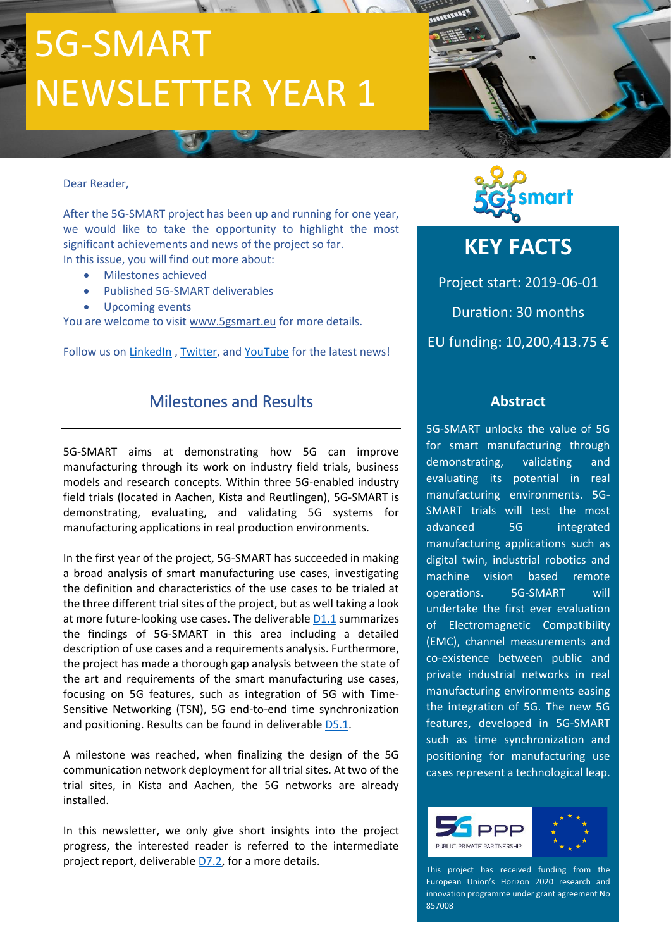# 5G-SMART NEWSLETTER YEAR 1

#### Dear Reader,

After the 5G-SMART project has been up and running for one year, we would like to take the opportunity to highlight the most significant achievements and news of the project so far. In this issue, you will find out more about:

- Milestones achieved
- Published 5G-SMART deliverables
- Upcoming events

You are welcome to visit [www.5gsmart.eu](http://www.5gsmart.eu/) for more details.

Follow us on [LinkedIn](https://www.linkedin.com/company/5gsmart), [Twitter,](https://twitter.com/5g_smart) and [YouTube](http://www.youtube.com/channel/UCdhRYuUuSfT97tIivMGLRIg) for the latest news!

## Milestones and Results

5G-SMART aims at demonstrating how 5G can improve manufacturing through its work on industry field trials, business models and research concepts. Within three 5G-enabled industry field trials (located in Aachen, Kista and Reutlingen), 5G-SMART is demonstrating, evaluating, and validating 5G systems for manufacturing applications in real production environments.

In the first year of the project, 5G-SMART has succeeded in making a broad analysis of smart manufacturing use cases, investigating the definition and characteristics of the use cases to be trialed at the three different trial sites of the project, but as well taking a look at more future-looking use cases. The deliverable [D1.1](https://5gsmart.eu/wp-content/uploads/5G-SMART-D1.1.pdf) summarizes the findings of 5G-SMART in this area including a detailed description of use cases and a requirements analysis. Furthermore, the project has made a thorough gap analysis between the state of the art and requirements of the smart manufacturing use cases, focusing on 5G features, such as integration of 5G with Time-Sensitive Networking (TSN), 5G end-to-end time synchronization and positioning. Results can be found in deliverabl[e D5.1.](https://5gsmart.eu/wp-content/uploads/5G-SMART-D5.1.pdf)

A milestone was reached, when finalizing the design of the 5G communication network deployment for all trial sites. At two of the trial sites, in Kista and Aachen, the 5G networks are already installed.

In this newsletter, we only give short insights into the project progress, the interested reader is referred to the intermediate project report, deliverable [D7.2,](https://5gsmart.eu/wp-content/uploads/5G-SMART-D7.2.pdf) for a more details.



# **KEY FACTS**

Project start: 2019-06-01 Duration: 30 months EU funding: 10,200,413.75 €

#### **Abstract**

5G-SMART unlocks the value of 5G for smart manufacturing through demonstrating, validating and evaluating its potential in real manufacturing environments. 5G-SMART trials will test the most advanced 5G integrated manufacturing applications such as digital twin, industrial robotics and machine vision based remote operations. 5G-SMART will undertake the first ever evaluation of Electromagnetic Compatibility (EMC), channel measurements and co-existence between public and private industrial networks in real manufacturing environments easing the integration of 5G. The new 5G features, developed in 5G-SMART such as time synchronization and positioning for manufacturing use cases represent a technological leap.



This project has received funding from the European Union's Horizon 2020 research and innovation programme under grant agreement No 857008